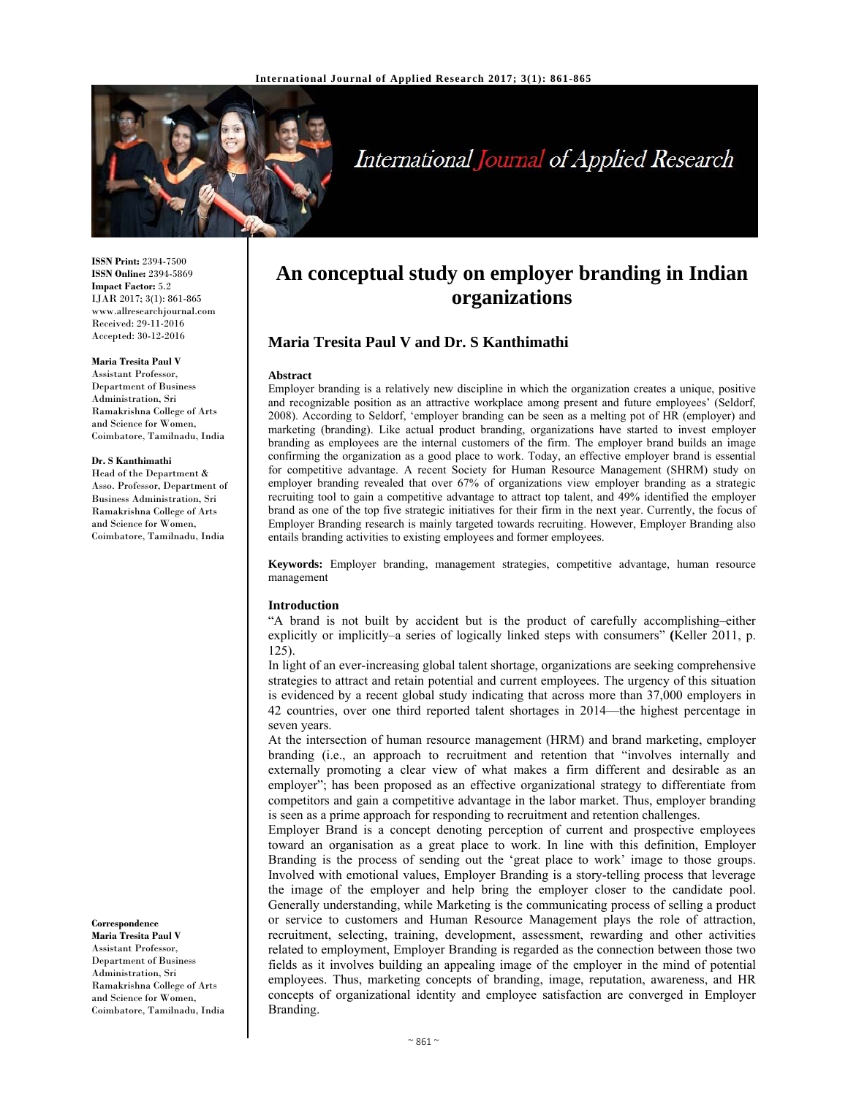

# International Journal of Applied Research

**ISSN Print:** 2394-7500 **ISSN Online:** 2394-5869 **Impact Factor:** 5.2 IJAR 2017; 3(1): 861-865 www.allresearchjournal.com Received: 29-11-2016 Accepted: 30-12-2016

#### **Maria Tresita Paul V**

Assistant Professor, Department of Business Administration, Sri Ramakrishna College of Arts and Science for Women, Coimbatore, Tamilnadu, India

#### **Dr. S Kanthimathi**

Head of the Department & Asso. Professor, Department of Business Administration, Sri Ramakrishna College of Arts and Science for Women, Coimbatore, Tamilnadu, India

**Correspondence**

**Maria Tresita Paul V**  Assistant Professor, Department of Business Administration, Sri Ramakrishna College of Arts and Science for Women, Coimbatore, Tamilnadu, India

# **An conceptual study on employer branding in Indian organizations**

## **Maria Tresita Paul V and Dr. S Kanthimathi**

#### **Abstract**

Employer branding is a relatively new discipline in which the organization creates a unique, positive and recognizable position as an attractive workplace among present and future employees' (Seldorf, 2008). According to Seldorf, 'employer branding can be seen as a melting pot of HR (employer) and marketing (branding). Like actual product branding, organizations have started to invest employer branding as employees are the internal customers of the firm. The employer brand builds an image confirming the organization as a good place to work. Today, an effective employer brand is essential for competitive advantage. A recent Society for Human Resource Management (SHRM) study on employer branding revealed that over 67% of organizations view employer branding as a strategic recruiting tool to gain a competitive advantage to attract top talent, and 49% identified the employer brand as one of the top five strategic initiatives for their firm in the next year. Currently, the focus of Employer Branding research is mainly targeted towards recruiting. However, Employer Branding also entails branding activities to existing employees and former employees.

**Keywords:** Employer branding, management strategies, competitive advantage, human resource management

#### **Introduction**

"A brand is not built by accident but is the product of carefully accomplishing–either explicitly or implicitly–a series of logically linked steps with consumers" **(**Keller 2011, p. 125).

In light of an ever-increasing global talent shortage, organizations are seeking comprehensive strategies to attract and retain potential and current employees. The urgency of this situation is evidenced by a recent global study indicating that across more than 37,000 employers in 42 countries, over one third reported talent shortages in 2014—the highest percentage in seven years.

At the intersection of human resource management (HRM) and brand marketing, employer branding (i.e., an approach to recruitment and retention that "involves internally and externally promoting a clear view of what makes a firm different and desirable as an employer"; has been proposed as an effective organizational strategy to differentiate from competitors and gain a competitive advantage in the labor market. Thus, employer branding is seen as a prime approach for responding to recruitment and retention challenges.

Employer Brand is a concept denoting perception of current and prospective employees toward an organisation as a great place to work. In line with this definition, Employer Branding is the process of sending out the 'great place to work' image to those groups. Involved with emotional values, Employer Branding is a story-telling process that leverage the image of the employer and help bring the employer closer to the candidate pool. Generally understanding, while Marketing is the communicating process of selling a product or service to customers and Human Resource Management plays the role of attraction, recruitment, selecting, training, development, assessment, rewarding and other activities related to employment, Employer Branding is regarded as the connection between those two fields as it involves building an appealing image of the employer in the mind of potential employees. Thus, marketing concepts of branding, image, reputation, awareness, and HR concepts of organizational identity and employee satisfaction are converged in Employer Branding.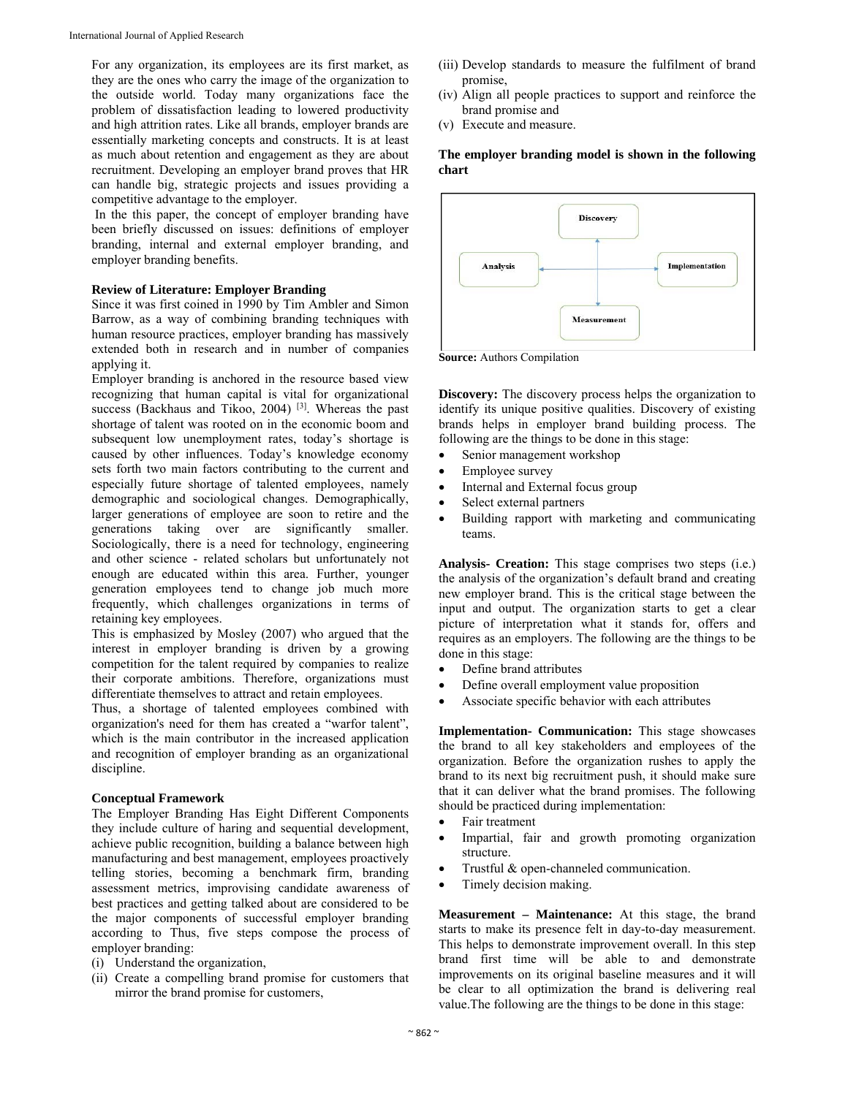For any organization, its employees are its first market, as they are the ones who carry the image of the organization to the outside world. Today many organizations face the problem of dissatisfaction leading to lowered productivity and high attrition rates. Like all brands, employer brands are essentially marketing concepts and constructs. It is at least as much about retention and engagement as they are about recruitment. Developing an employer brand proves that HR can handle big, strategic projects and issues providing a competitive advantage to the employer.

 In the this paper, the concept of employer branding have been briefly discussed on issues: definitions of employer branding, internal and external employer branding, and employer branding benefits.

#### **Review of Literature: Employer Branding**

Since it was first coined in 1990 by Tim Ambler and Simon Barrow, as a way of combining branding techniques with human resource practices, employer branding has massively extended both in research and in number of companies applying it.

Employer branding is anchored in the resource based view recognizing that human capital is vital for organizational success (Backhaus and Tikoo, 2004)<sup>[3]</sup>. Whereas the past shortage of talent was rooted on in the economic boom and subsequent low unemployment rates, today's shortage is caused by other influences. Today's knowledge economy sets forth two main factors contributing to the current and especially future shortage of talented employees, namely demographic and sociological changes. Demographically, larger generations of employee are soon to retire and the generations taking over are significantly smaller. Sociologically, there is a need for technology, engineering and other science - related scholars but unfortunately not enough are educated within this area. Further, younger generation employees tend to change job much more frequently, which challenges organizations in terms of retaining key employees.

This is emphasized by Mosley (2007) who argued that the interest in employer branding is driven by a growing competition for the talent required by companies to realize their corporate ambitions. Therefore, organizations must differentiate themselves to attract and retain employees.

Thus, a shortage of talented employees combined with organization's need for them has created a "warfor talent", which is the main contributor in the increased application and recognition of employer branding as an organizational discipline.

#### **Conceptual Framework**

The Employer Branding Has Eight Different Components they include culture of haring and sequential development, achieve public recognition, building a balance between high manufacturing and best management, employees proactively telling stories, becoming a benchmark firm, branding assessment metrics, improvising candidate awareness of best practices and getting talked about are considered to be the major components of successful employer branding according to Thus, five steps compose the process of employer branding:

- (i) Understand the organization,
- (ii) Create a compelling brand promise for customers that mirror the brand promise for customers,
- (iii) Develop standards to measure the fulfilment of brand promise,
- (iv) Align all people practices to support and reinforce the brand promise and
- (v) Execute and measure.

**The employer branding model is shown in the following chart** 



**Source:** Authors Compilation

**Discovery:** The discovery process helps the organization to identify its unique positive qualities. Discovery of existing brands helps in employer brand building process. The following are the things to be done in this stage:

- Senior management workshop
- Employee survey
- Internal and External focus group
- Select external partners
- Building rapport with marketing and communicating teams.

**Analysis- Creation:** This stage comprises two steps (i.e.) the analysis of the organization's default brand and creating new employer brand. This is the critical stage between the input and output. The organization starts to get a clear picture of interpretation what it stands for, offers and requires as an employers. The following are the things to be done in this stage:

- Define brand attributes
- Define overall employment value proposition
- Associate specific behavior with each attributes

**Implementation- Communication:** This stage showcases the brand to all key stakeholders and employees of the organization. Before the organization rushes to apply the brand to its next big recruitment push, it should make sure that it can deliver what the brand promises. The following should be practiced during implementation:

- Fair treatment
- Impartial, fair and growth promoting organization structure.
- Trustful & open-channeled communication.
- Timely decision making.

**Measurement – Maintenance:** At this stage, the brand starts to make its presence felt in day-to-day measurement. This helps to demonstrate improvement overall. In this step brand first time will be able to and demonstrate improvements on its original baseline measures and it will be clear to all optimization the brand is delivering real value.The following are the things to be done in this stage: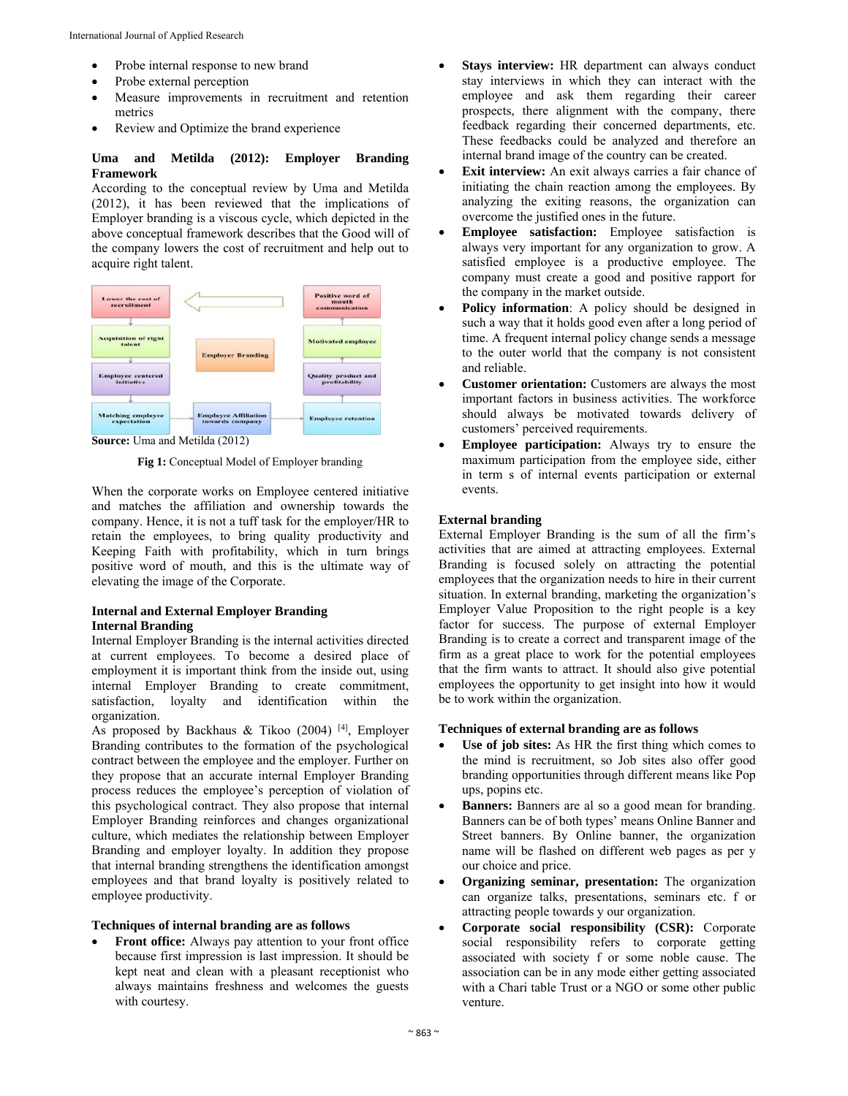- Probe internal response to new brand
- Probe external perception
- Measure improvements in recruitment and retention metrics
- Review and Optimize the brand experience

# **Uma and Metilda (2012): Employer Branding Framework**

According to the conceptual review by Uma and Metilda (2012), it has been reviewed that the implications of Employer branding is a viscous cycle, which depicted in the above conceptual framework describes that the Good will of the company lowers the cost of recruitment and help out to acquire right talent.



**Source:** Uma and Metilda (2012)

**Fig 1:** Conceptual Model of Employer branding

When the corporate works on Employee centered initiative and matches the affiliation and ownership towards the company. Hence, it is not a tuff task for the employer/HR to retain the employees, to bring quality productivity and Keeping Faith with profitability, which in turn brings positive word of mouth, and this is the ultimate way of elevating the image of the Corporate.

## **Internal and External Employer Branding Internal Branding**

Internal Employer Branding is the internal activities directed at current employees. To become a desired place of employment it is important think from the inside out, using internal Employer Branding to create commitment, satisfaction, loyalty and identification within the organization.

As proposed by Backhaus & Tikoo  $(2004)$ <sup>[4]</sup>, Employer Branding contributes to the formation of the psychological contract between the employee and the employer. Further on they propose that an accurate internal Employer Branding process reduces the employee's perception of violation of this psychological contract. They also propose that internal Employer Branding reinforces and changes organizational culture, which mediates the relationship between Employer Branding and employer loyalty. In addition they propose that internal branding strengthens the identification amongst employees and that brand loyalty is positively related to employee productivity.

#### **Techniques of internal branding are as follows**

 **Front office:** Always pay attention to your front office because first impression is last impression. It should be kept neat and clean with a pleasant receptionist who always maintains freshness and welcomes the guests with courtesy.

- **Stays interview:** HR department can always conduct stay interviews in which they can interact with the employee and ask them regarding their career prospects, there alignment with the company, there feedback regarding their concerned departments, etc. These feedbacks could be analyzed and therefore an internal brand image of the country can be created.
- **Exit interview:** An exit always carries a fair chance of initiating the chain reaction among the employees. By analyzing the exiting reasons, the organization can overcome the justified ones in the future.
- **Employee satisfaction:** Employee satisfaction is always very important for any organization to grow. A satisfied employee is a productive employee. The company must create a good and positive rapport for the company in the market outside.
- **Policy information**: A policy should be designed in such a way that it holds good even after a long period of time. A frequent internal policy change sends a message to the outer world that the company is not consistent and reliable.
- **Customer orientation:** Customers are always the most important factors in business activities. The workforce should always be motivated towards delivery of customers' perceived requirements.
- **Employee participation:** Always try to ensure the maximum participation from the employee side, either in term s of internal events participation or external events.

## **External branding**

External Employer Branding is the sum of all the firm's activities that are aimed at attracting employees. External Branding is focused solely on attracting the potential employees that the organization needs to hire in their current situation. In external branding, marketing the organization's Employer Value Proposition to the right people is a key factor for success. The purpose of external Employer Branding is to create a correct and transparent image of the firm as a great place to work for the potential employees that the firm wants to attract. It should also give potential employees the opportunity to get insight into how it would be to work within the organization.

#### **Techniques of external branding are as follows**

- **Use of job sites:** As HR the first thing which comes to the mind is recruitment, so Job sites also offer good branding opportunities through different means like Pop ups, popins etc.
- **Banners:** Banners are al so a good mean for branding. Banners can be of both types' means Online Banner and Street banners. By Online banner, the organization name will be flashed on different web pages as per y our choice and price.
- **Organizing seminar, presentation:** The organization can organize talks, presentations, seminars etc. f or attracting people towards y our organization.
- **Corporate social responsibility (CSR):** Corporate social responsibility refers to corporate getting associated with society f or some noble cause. The association can be in any mode either getting associated with a Chari table Trust or a NGO or some other public venture.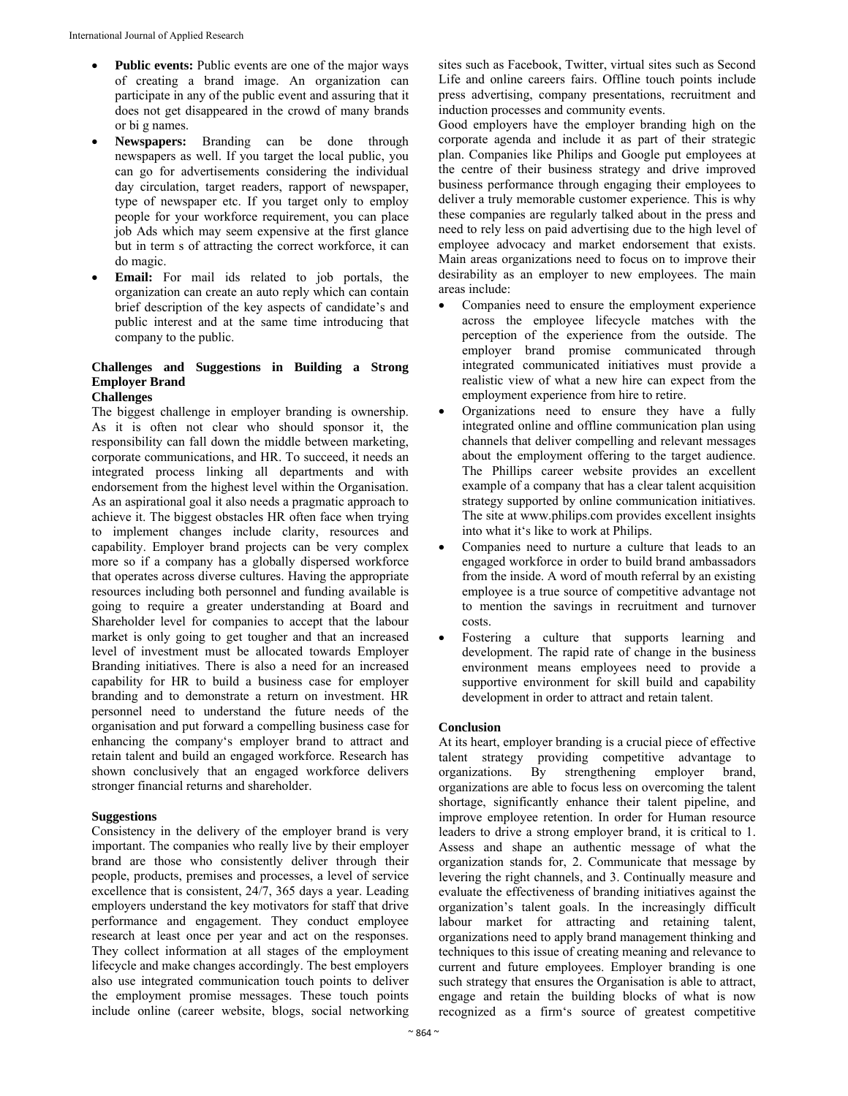- **Public events:** Public events are one of the major ways of creating a brand image. An organization can participate in any of the public event and assuring that it does not get disappeared in the crowd of many brands or bi g names.
- **Newspapers:** Branding can be done through newspapers as well. If you target the local public, you can go for advertisements considering the individual day circulation, target readers, rapport of newspaper, type of newspaper etc. If you target only to employ people for your workforce requirement, you can place job Ads which may seem expensive at the first glance but in term s of attracting the correct workforce, it can do magic.
- **Email:** For mail ids related to job portals, the organization can create an auto reply which can contain brief description of the key aspects of candidate's and public interest and at the same time introducing that company to the public.

# **Challenges and Suggestions in Building a Strong Employer Brand**

# **Challenges**

The biggest challenge in employer branding is ownership. As it is often not clear who should sponsor it, the responsibility can fall down the middle between marketing, corporate communications, and HR. To succeed, it needs an integrated process linking all departments and with endorsement from the highest level within the Organisation. As an aspirational goal it also needs a pragmatic approach to achieve it. The biggest obstacles HR often face when trying to implement changes include clarity, resources and capability. Employer brand projects can be very complex more so if a company has a globally dispersed workforce that operates across diverse cultures. Having the appropriate resources including both personnel and funding available is going to require a greater understanding at Board and Shareholder level for companies to accept that the labour market is only going to get tougher and that an increased level of investment must be allocated towards Employer Branding initiatives. There is also a need for an increased capability for HR to build a business case for employer branding and to demonstrate a return on investment. HR personnel need to understand the future needs of the organisation and put forward a compelling business case for enhancing the company's employer brand to attract and retain talent and build an engaged workforce. Research has shown conclusively that an engaged workforce delivers stronger financial returns and shareholder.

#### **Suggestions**

Consistency in the delivery of the employer brand is very important. The companies who really live by their employer brand are those who consistently deliver through their people, products, premises and processes, a level of service excellence that is consistent, 24/7, 365 days a year. Leading employers understand the key motivators for staff that drive performance and engagement. They conduct employee research at least once per year and act on the responses. They collect information at all stages of the employment lifecycle and make changes accordingly. The best employers also use integrated communication touch points to deliver the employment promise messages. These touch points include online (career website, blogs, social networking sites such as Facebook, Twitter, virtual sites such as Second Life and online careers fairs. Offline touch points include press advertising, company presentations, recruitment and induction processes and community events.

Good employers have the employer branding high on the corporate agenda and include it as part of their strategic plan. Companies like Philips and Google put employees at the centre of their business strategy and drive improved business performance through engaging their employees to deliver a truly memorable customer experience. This is why these companies are regularly talked about in the press and need to rely less on paid advertising due to the high level of employee advocacy and market endorsement that exists. Main areas organizations need to focus on to improve their desirability as an employer to new employees. The main areas include:

- Companies need to ensure the employment experience across the employee lifecycle matches with the perception of the experience from the outside. The employer brand promise communicated through integrated communicated initiatives must provide a realistic view of what a new hire can expect from the employment experience from hire to retire.
- Organizations need to ensure they have a fully integrated online and offline communication plan using channels that deliver compelling and relevant messages about the employment offering to the target audience. The Phillips career website provides an excellent example of a company that has a clear talent acquisition strategy supported by online communication initiatives. The site at www.philips.com provides excellent insights into what it's like to work at Philips.
- Companies need to nurture a culture that leads to an engaged workforce in order to build brand ambassadors from the inside. A word of mouth referral by an existing employee is a true source of competitive advantage not to mention the savings in recruitment and turnover costs.
- Fostering a culture that supports learning and development. The rapid rate of change in the business environment means employees need to provide a supportive environment for skill build and capability development in order to attract and retain talent.

#### **Conclusion**

At its heart, employer branding is a crucial piece of effective talent strategy providing competitive advantage to organizations. By strengthening employer brand, organizations are able to focus less on overcoming the talent shortage, significantly enhance their talent pipeline, and improve employee retention. In order for Human resource leaders to drive a strong employer brand, it is critical to 1. Assess and shape an authentic message of what the organization stands for, 2. Communicate that message by levering the right channels, and 3. Continually measure and evaluate the effectiveness of branding initiatives against the organization's talent goals. In the increasingly difficult labour market for attracting and retaining talent, organizations need to apply brand management thinking and techniques to this issue of creating meaning and relevance to current and future employees. Employer branding is one such strategy that ensures the Organisation is able to attract, engage and retain the building blocks of what is now recognized as a firm's source of greatest competitive